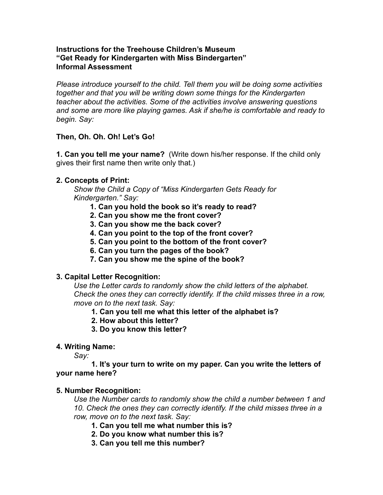### **Instructions for the Treehouse Children's Museum "Get Ready for Kindergarten with Miss Bindergarten" Informal Assessment**

*Please introduce yourself to the child. Tell them you will be doing some activities together and that you will be writing down some things for the Kindergarten teacher about the activities. Some of the activities involve answering questions and some are more like playing games. Ask if she/he is comfortable and ready to begin. Say:* 

# **Then, Oh. Oh. Oh! Let's Go!**

**1. Can you tell me your name?** (Write down his/her response. If the child only gives their first name then write only that.)

## **2. Concepts of Print:**

 *Show the Child a Copy of "Miss Kindergarten Gets Ready for Kindergarten." Say:* 

- **1. Can you hold the book so it's ready to read?**
- **2. Can you show me the front cover?**
- **3. Can you show me the back cover?**
- **4. Can you point to the top of the front cover?**
- **5. Can you point to the bottom of the front cover?**
- **6. Can you turn the pages of the book?**
- **7. Can you show me the spine of the book?**

### **3. Capital Letter Recognition:**

 *Use the Letter cards to randomly show the child letters of the alphabet. Check the ones they can correctly identify. If the child misses three in a row, move on to the next task. Say:* 

### **1. Can you tell me what this letter of the alphabet is?**

- **2. How about this letter?**
- **3. Do you know this letter?**

### **4. Writing Name:**

*Say:*

#### **1. It's your turn to write on my paper. Can you write the letters of your name here?**

### **5. Number Recognition:**

*Use the Number cards to randomly show the child a number between 1 and 10. Check the ones they can correctly identify. If the child misses three in a row, move on to the next task. Say:* 

- **1. Can you tell me what number this is?**
- **2. Do you know what number this is?**
- **3. Can you tell me this number?**